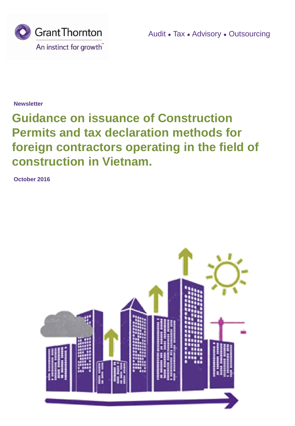

Audit ● Tax ● Advisory ● Outsourcing

**Newsletter**

# **Guidance on issuance of Construction Permits and tax declaration methods for foreign contractors operating in the field of construction in Vietnam.**

**October 2016**

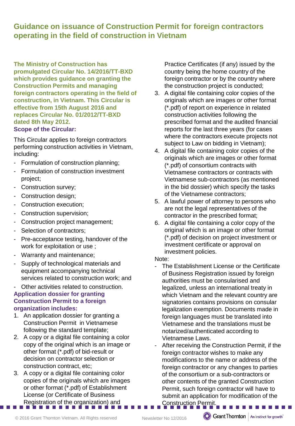**Guidance on issuance of Construction Permit for foreign contractors operating in the field of construction in Vietnam**

**The Ministry of Construction has promulgated Circular No. 14/2016/TT-BXD which provides guidance on granting the Construction Permits and managing foreign contractors operating in the field of construction, in Vietnam. This Circular is effective from 15th August 2016 and replaces Circular No. 01/2012/TT-BXD dated 8th May 2012. Scope of the Circular:**

This Circular applies to foreign contractors performing construction activities in Vietnam, including:

- Formulation of construction planning;
- Formulation of construction investment project;
- Construction survey;
- Construction design;
- Construction execution;
- Construction supervision;
- Construction project management;
- Selection of contractors;
- Pre-acceptance testing, handover of the work for exploitation or use ;
- Warranty and maintenance;
- Supply of technological materials and equipment accompanying technical services related to construction work; and
- Other activities related to construction. **Application dossier for granting Construction Permit to a foreign organization includes:**
- 1. An application dossier for granting a Construction Permit in Vietnamese following the standard template;
- 2. A copy or a digital file containing a color copy of the original which is an image or other format (\*.pdf) of bid-result or decision on contractor selection or construction contract, etc;
- 3. A copy or a digital file containing color copies of the originals which are images or other format (\*.pdf) of Establishment License (or Certificate of Business Registration of the organization) and

Practice Certificates (if any) issued by the country being the home country of the foreign contractor or by the country where the construction project is conducted;

- 3. A digital file containing color copies of the originals which are images or other format (\*.pdf) of report on experience in related construction activities following the prescribed format and the audited financial reports for the last three years (for cases where the contractors execute projects not subject to Law on bidding in Vietnam);
- 4. A digital file containing color copies of the originals which are images or other format (\*.pdf) of consortium contracts with Vietnamese contractors or contracts with Vietnamese sub-contractors (as mentioned in the bid dossier) which specify the tasks of the Vietnamese contractors;
- 5. A lawful power of attorney to persons who are not the legal representatives of the contractor in the prescribed format;
- 6. A digital file containing a color copy of the original which is an image or other format (\*.pdf) of decision on project investment or investment certificate or approval on investment policies.

#### Note:

- The Establishment License or the Certificate of Business Registration issued by foreign authorities must be consularised and legalized, unless an international treaty in which Vietnam and the relevant country are signatories contains provisions on consular legalization exemption. Documents made in foreign languages must be translated into Vietnamese and the translations must be notarized/authenticated according to Vietnamese Laws.
- After receiving the Construction Permit, if the foreign contractor wishes to make any modifications to the name or address of the foreign contractor or any changes to parties of the consortium or a sub-contractors or other contents of the granted Construction Permit, such foreign contractor will have to submit an application for modification of the Construction Permit.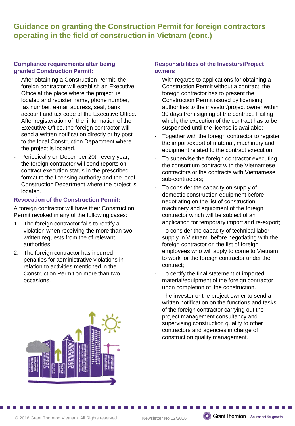## **Guidance on granting the Construction Permit for foreign contractors operating in the field of construction in Vietnam (cont.)**

#### **Compliance requirements after being granted Construction Permit:**

- After obtaining a Construction Permit, the foreign contractor will establish an Executive Office at the place where the project is located and register name, phone number, fax number, e-mail address, seal, bank account and tax code of the Executive Office. After registeration of the information of the Executive Office, the foreign contractor will send a written notification directly or by post to the local Construction Department where the project is located.
- Periodically on December 20th every year, the foreign contractor will send reports on contract execution status in the prescribed format to the licensing authority and the local Construction Department where the project is located.

#### **Revocation of the Construction Permit:**

A foreign contractor will have their Construction Permit revoked in any of the following cases:

- 1. The foreign contractor fails to rectify a violation when receiving the more than two written requests from the of relevant authorities.
- 2. The foreign contractor has incurred penalties for administrative violations in relation to activities mentioned in the Construction Permit on more than two occasions.



#### **Responsibilities of the Investors/Project owners**

- With regards to applications for obtaining a Construction Permit without a contract, the foreign contractor has to present the Construction Permit issued by licensing authorities to the investor/project owner within 30 days from signing of the contract. Failing which, the execution of the contract has to be suspended until the license is available;
- Together with the foreign contractor to register the import/export of material, machinery and equipment related to the contract execution;
- To supervise the foreign contractor executing the consortium contract with the Vietnamese contractors or the contracts with Vietnamese sub-contractors;
- To consider the capacity on supply of domestic construction equipment before negotiating on the list of construction machinery and equipment of the foreign contractor which will be subject of an application for temporary import and re-export;
- To consider the capacity of technical labor supply in Vietnam before negotiating with the foreign contractor on the list of foreign employees who will apply to come to Vietnam to work for the foreign contractor under the contract;
- To certify the final statement of imported material/equipment of the foreign contractor upon completion of the construction.
- The investor or the project owner to send a written notification on the functions and tasks of the foreign contractor carrying out the project management consultancy and supervising construction quality to other contractors and agencies in charge of construction quality management.

**C** Grant Thornton | An instinct for growth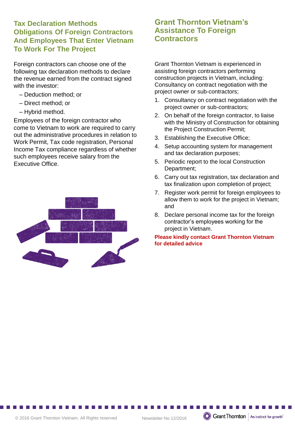### **Tax Declaration Methods Obligations Of Foreign Contractors And Employees That Enter Vietnam To Work For The Project**

Foreign contractors can choose one of the following tax declaration methods to declare the revenue earned from the contract signed with the investor:

- Deduction method; or
- Direct method; or
- Hybrid method.

Employees of the foreign contractor who come to Vietnam to work are required to carry out the administrative procedures in relation to Work Permit, Tax code registration, Personal Income Tax compliance regardless of whether such employees receive salary from the Executive Office.



## **Grant Thornton Vietnam's Assistance To Foreign Contractors**

Grant Thornton Vietnam is experienced in assisting foreign contractors performing construction projects in Vietnam, including: Consultancy on contract negotiation with the project owner or sub-contractors;

- 1. Consultancy on contract negotiation with the project owner or sub-contractors;
- 2. On behalf of the foreign contractor, to liaise with the Ministry of Construction for obtaining the Project Construction Permit;
- 3. Establishing the Executive Office;
- 4. Setup accounting system for management and tax declaration purposes;
- 5. Periodic report to the local Construction Department;
- 6. Carry out tax registration, tax declaration and tax finalization upon completion of project;
- 7. Register work permit for foreign employees to allow them to work for the project in Vietnam; and
- 8. Declare personal income tax for the foreign contractor's employees working for the project in Vietnam.

#### **Please kindly contact Grant Thornton Vietnam for detailed advice**

**C** Grant Thornton | An instinct for growth

© 2016 Grant Thornton Vietnam. All Rights reserved Newsletter No 12/2016